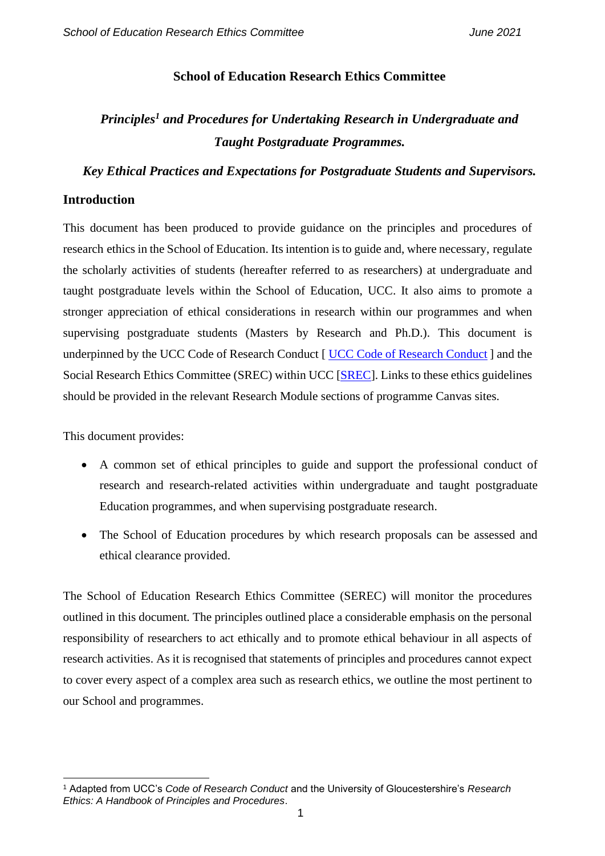### **School of Education Research Ethics Committee**

# *Principles<sup>1</sup> and Procedures for Undertaking Research in Undergraduate and Taught Postgraduate Programmes.*

*Key Ethical Practices and Expectations for Postgraduate Students and Supervisors.*

#### **Introduction**

This document has been produced to provide guidance on the principles and procedures of research ethics in the School of Education. Its intention is to guide and, where necessary, regulate the scholarly activities of students (hereafter referred to as researchers) at undergraduate and taught postgraduate levels within the School of Education, UCC. It also aims to promote a stronger appreciation of ethical considerations in research within our programmes and when supervising postgraduate students (Masters by Research and Ph.D.). This document is underpinned by the [UCC Code of Research Conduct](https://www.ucc.ie/en/media/research/researchatucc/policiesdocuments/UCCCodeofResearchConductV2.3FINAL281119.pdf) [ UCC Code of Research Conduct ] and the Social Research Ethics Committee (SREC) within UCC [\[SREC\]](https://www.ucc.ie/en/research/support/ethics/socialresearch/). Links to these ethics guidelines should be provided in the relevant Research Module sections of programme Canvas sites.

This document provides:

- A common set of ethical principles to guide and support the professional conduct of research and research-related activities within undergraduate and taught postgraduate Education programmes, and when supervising postgraduate research.
- The School of Education procedures by which research proposals can be assessed and ethical clearance provided.

The School of Education Research Ethics Committee (SEREC) will monitor the procedures outlined in this document. The principles outlined place a considerable emphasis on the personal responsibility of researchers to act ethically and to promote ethical behaviour in all aspects of research activities. As it is recognised that statements of principles and procedures cannot expect to cover every aspect of a complex area such as research ethics, we outline the most pertinent to our School and programmes.

<sup>1</sup> Adapted from UCC's *Code of Research Conduct* and the University of Gloucestershire's *Research Ethics: A Handbook of Principles and Procedures*.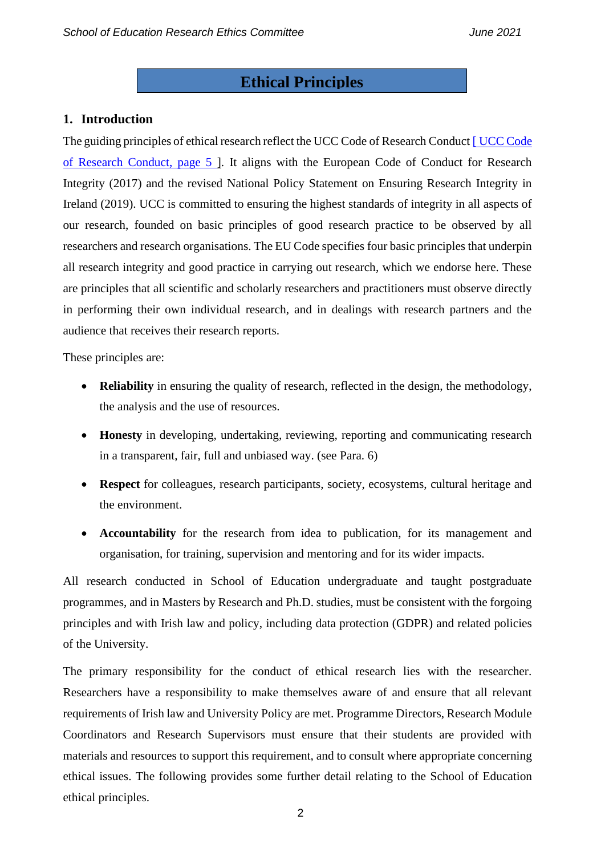## **Ethical Principles**

### **1. Introduction**

The guiding principles of ethical research reflect the [UCC Code](https://www.ucc.ie/en/media/research/researchatucc/policiesdocuments/UCCCodeofResearchConductV2.3FINAL281119.pdf) of Research Conduct [UCC Code [of Research Conduct, page 5](https://www.ucc.ie/en/media/research/researchatucc/policiesdocuments/UCCCodeofResearchConductV2.3FINAL281119.pdf) ]. It aligns with the European Code of Conduct for Research Integrity (2017) and the revised National Policy Statement on Ensuring Research Integrity in Ireland (2019). UCC is committed to ensuring the highest standards of integrity in all aspects of our research, founded on basic principles of good research practice to be observed by all researchers and research organisations. The EU Code specifies four basic principles that underpin all research integrity and good practice in carrying out research, which we endorse here. These are principles that all scientific and scholarly researchers and practitioners must observe directly in performing their own individual research, and in dealings with research partners and the audience that receives their research reports.

These principles are:

- **Reliability** in ensuring the quality of research, reflected in the design, the methodology, the analysis and the use of resources.
- **Honesty** in developing, undertaking, reviewing, reporting and communicating research in a transparent, fair, full and unbiased way. (see Para. 6)
- **Respect** for colleagues, research participants, society, ecosystems, cultural heritage and the environment.
- **Accountability** for the research from idea to publication, for its management and organisation, for training, supervision and mentoring and for its wider impacts.

All research conducted in School of Education undergraduate and taught postgraduate programmes, and in Masters by Research and Ph.D. studies, must be consistent with the forgoing principles and with Irish law and policy, including data protection (GDPR) and related policies of the University.

The primary responsibility for the conduct of ethical research lies with the researcher. Researchers have a responsibility to make themselves aware of and ensure that all relevant requirements of Irish law and University Policy are met. Programme Directors, Research Module Coordinators and Research Supervisors must ensure that their students are provided with materials and resources to support this requirement, and to consult where appropriate concerning ethical issues. The following provides some further detail relating to the School of Education ethical principles.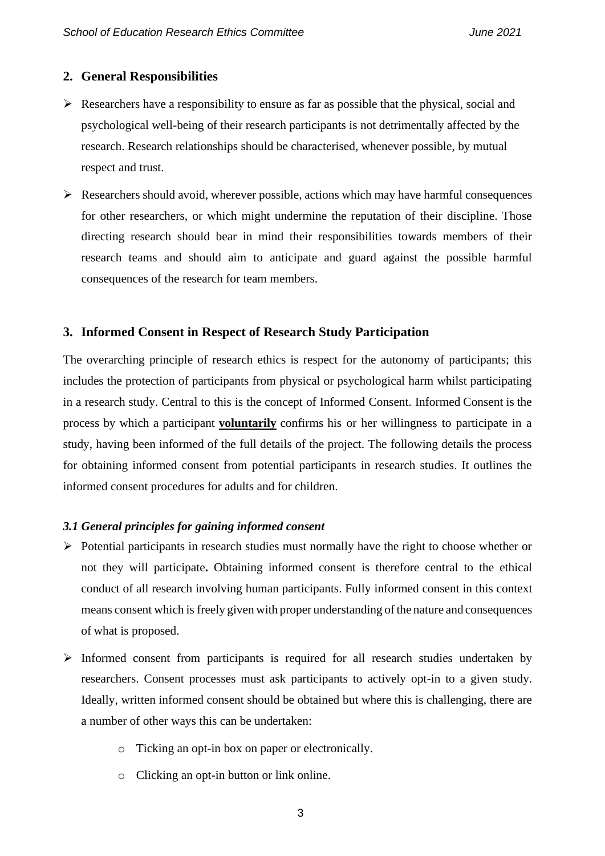#### **2. General Responsibilities**

- $\triangleright$  Researchers have a responsibility to ensure as far as possible that the physical, social and psychological well-being of their research participants is not detrimentally affected by the research. Research relationships should be characterised, whenever possible, by mutual respect and trust.
- $\triangleright$  Researchers should avoid, wherever possible, actions which may have harmful consequences for other researchers, or which might undermine the reputation of their discipline. Those directing research should bear in mind their responsibilities towards members of their research teams and should aim to anticipate and guard against the possible harmful consequences of the research for team members.

### **3. Informed Consent in Respect of Research Study Participation**

The overarching principle of research ethics is respect for the autonomy of participants; this includes the protection of participants from physical or psychological harm whilst participating in a research study. Central to this is the concept of Informed Consent. Informed Consent is the process by which a participant **voluntarily** confirms his or her willingness to participate in a study, having been informed of the full details of the project. The following details the process for obtaining informed consent from potential participants in research studies. It outlines the informed consent procedures for adults and for children.

#### *3.1 General principles for gaining informed consent*

- ➢ Potential participants in research studies must normally have the right to choose whether or not they will participate**.** Obtaining informed consent is therefore central to the ethical conduct of all research involving human participants. Fully informed consent in this context means consent which is freely given with proper understanding of the nature and consequences of what is proposed.
- ➢ Informed consent from participants is required for all research studies undertaken by researchers. Consent processes must ask participants to actively opt-in to a given study. Ideally, written informed consent should be obtained but where this is challenging, there are a number of other ways this can be undertaken:
	- o Ticking an opt-in box on paper or electronically.
	- o Clicking an opt-in button or link online.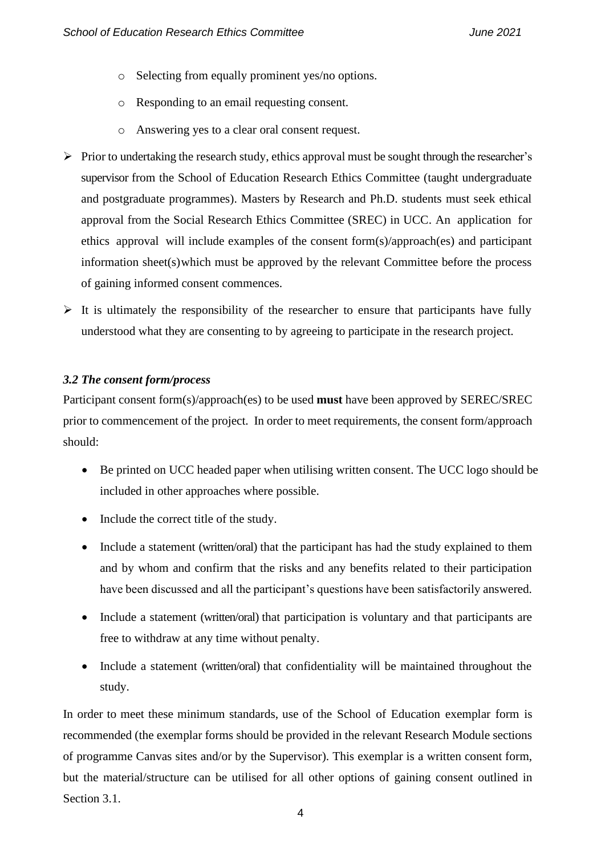- o Selecting from equally prominent yes/no options.
- o Responding to an email requesting consent.
- o Answering yes to a clear oral consent request.
- ➢ Prior to undertaking the research study, ethics approval must be sought through the researcher's supervisor from the School of Education Research Ethics Committee (taught undergraduate and postgraduate programmes). Masters by Research and Ph.D. students must seek ethical approval from the Social Research Ethics Committee (SREC) in UCC. An application for ethics approval will include examples of the consent form(s)/approach(es) and participant information sheet(s)which must be approved by the relevant Committee before the process of gaining informed consent commences.
- $\triangleright$  It is ultimately the responsibility of the researcher to ensure that participants have fully understood what they are consenting to by agreeing to participate in the research project.

#### *3.2 The consent form/process*

Participant consent form(s)/approach(es) to be used **must** have been approved by SEREC/SREC prior to commencement of the project. In order to meet requirements, the consent form/approach should:

- Be printed on UCC headed paper when utilising written consent. The UCC logo should be included in other approaches where possible.
- Include the correct title of the study.
- Include a statement (written/oral) that the participant has had the study explained to them and by whom and confirm that the risks and any benefits related to their participation have been discussed and all the participant's questions have been satisfactorily answered.
- Include a statement (written/oral) that participation is voluntary and that participants are free to withdraw at any time without penalty.
- Include a statement (written/oral) that confidentiality will be maintained throughout the study.

In order to meet these minimum standards, use of the School of Education exemplar form is recommended (the exemplar forms should be provided in the relevant Research Module sections of programme Canvas sites and/or by the Supervisor). This exemplar is a written consent form, but the material/structure can be utilised for all other options of gaining consent outlined in Section 3.1.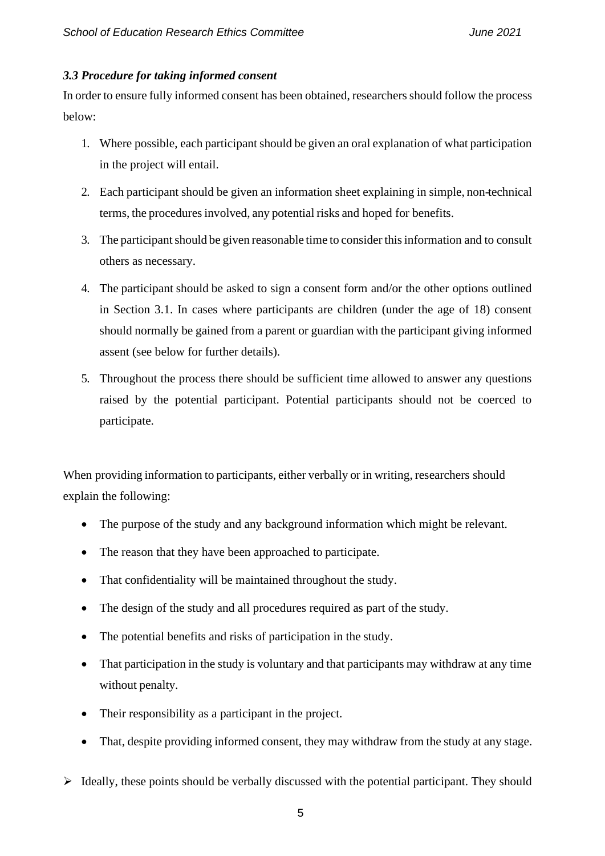#### *3.3 Procedure for taking informed consent*

In order to ensure fully informed consent has been obtained, researchers should follow the process below:

- 1. Where possible, each participant should be given an oral explanation of what participation in the project will entail.
- 2. Each participant should be given an information sheet explaining in simple, non-technical terms, the procedures involved, any potential risks and hoped for benefits.
- 3. The participant should be given reasonable time to consider this information and to consult others as necessary.
- 4. The participant should be asked to sign a consent form and/or the other options outlined in Section 3.1. In cases where participants are children (under the age of 18) consent should normally be gained from a parent or guardian with the participant giving informed assent (see below for further details).
- 5. Throughout the process there should be sufficient time allowed to answer any questions raised by the potential participant. Potential participants should not be coerced to participate.

When providing information to participants, either verbally or in writing, researchers should explain the following:

- The purpose of the study and any background information which might be relevant.
- The reason that they have been approached to participate.
- That confidentiality will be maintained throughout the study.
- The design of the study and all procedures required as part of the study.
- The potential benefits and risks of participation in the study.
- That participation in the study is voluntary and that participants may withdraw at any time without penalty.
- Their responsibility as a participant in the project.
- That, despite providing informed consent, they may withdraw from the study at any stage.
- $\triangleright$  Ideally, these points should be verbally discussed with the potential participant. They should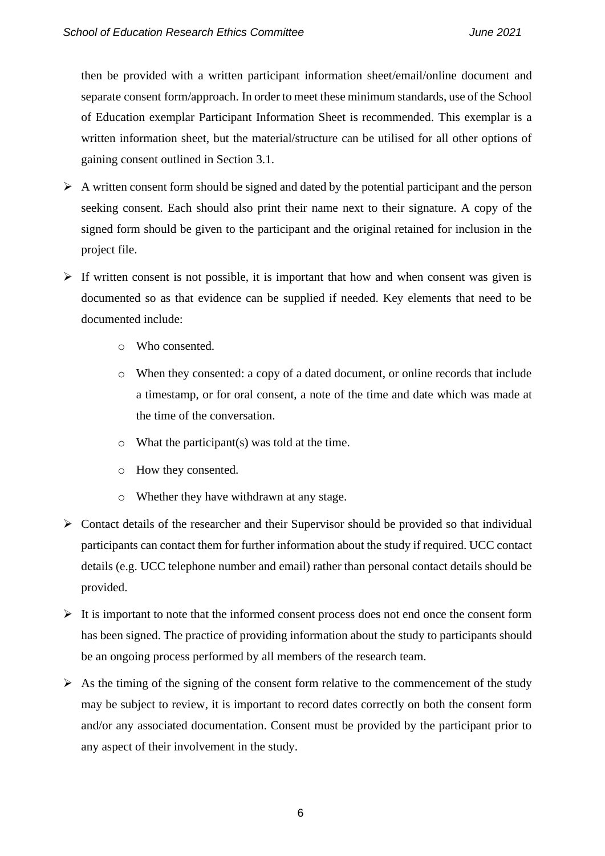then be provided with a written participant information sheet/email/online document and separate consent form/approach. In order to meet these minimum standards, use of the School of Education exemplar Participant Information Sheet is recommended. This exemplar is a written information sheet, but the material/structure can be utilised for all other options of gaining consent outlined in Section 3.1.

- $\triangleright$  A written consent form should be signed and dated by the potential participant and the person seeking consent. Each should also print their name next to their signature. A copy of the signed form should be given to the participant and the original retained for inclusion in the project file.
- $\triangleright$  If written consent is not possible, it is important that how and when consent was given is documented so as that evidence can be supplied if needed. Key elements that need to be documented include:
	- o Who consented.
	- o When they consented: a copy of a dated document, or online records that include a timestamp, or for oral consent, a note of the time and date which was made at the time of the conversation.
	- o What the participant(s) was told at the time.
	- o How they consented.
	- o Whether they have withdrawn at any stage.
- $\triangleright$  Contact details of the researcher and their Supervisor should be provided so that individual participants can contact them for further information about the study if required. UCC contact details (e.g. UCC telephone number and email) rather than personal contact details should be provided.
- $\triangleright$  It is important to note that the informed consent process does not end once the consent form has been signed. The practice of providing information about the study to participants should be an ongoing process performed by all members of the research team.
- $\triangleright$  As the timing of the signing of the consent form relative to the commencement of the study may be subject to review, it is important to record dates correctly on both the consent form and/or any associated documentation. Consent must be provided by the participant prior to any aspect of their involvement in the study.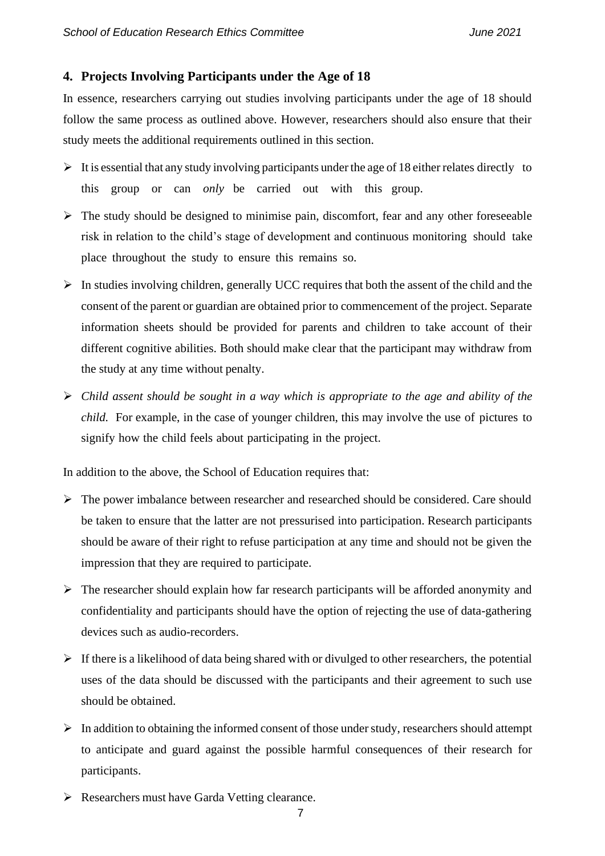#### **4. Projects Involving Participants under the Age of 18**

In essence, researchers carrying out studies involving participants under the age of 18 should follow the same process as outlined above. However, researchers should also ensure that their study meets the additional requirements outlined in this section.

- $\triangleright$  It is essential that any study involving participants under the age of 18 either relates directly to this group or can *only* be carried out with this group.
- ➢ The study should be designed to minimise pain, discomfort, fear and any other foreseeable risk in relation to the child's stage of development and continuous monitoring should take place throughout the study to ensure this remains so.
- $\triangleright$  In studies involving children, generally UCC requires that both the assent of the child and the consent of the parent or guardian are obtained prior to commencement of the project. Separate information sheets should be provided for parents and children to take account of their different cognitive abilities. Both should make clear that the participant may withdraw from the study at any time without penalty.
- ➢ *Child assent should be sought in a way which is appropriate to the age and ability of the child.* For example, in the case of younger children, this may involve the use of pictures to signify how the child feels about participating in the project.

In addition to the above, the School of Education requires that:

- ➢ The power imbalance between researcher and researched should be considered. Care should be taken to ensure that the latter are not pressurised into participation. Research participants should be aware of their right to refuse participation at any time and should not be given the impression that they are required to participate.
- $\triangleright$  The researcher should explain how far research participants will be afforded anonymity and confidentiality and participants should have the option of rejecting the use of data-gathering devices such as audio-recorders.
- $\triangleright$  If there is a likelihood of data being shared with or divulged to other researchers, the potential uses of the data should be discussed with the participants and their agreement to such use should be obtained.
- $\triangleright$  In addition to obtaining the informed consent of those under study, researchers should attempt to anticipate and guard against the possible harmful consequences of their research for participants.
- ➢ Researchers must have Garda Vetting clearance.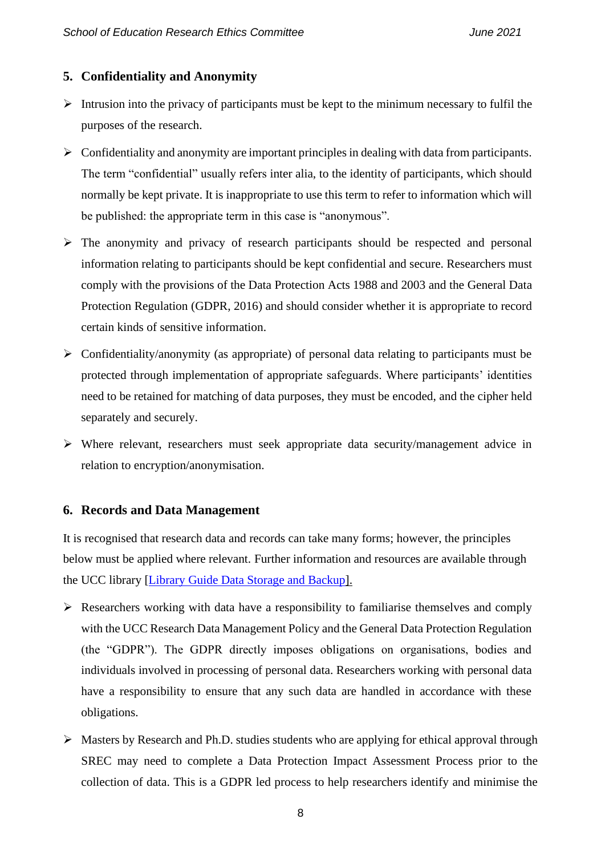### **5. Confidentiality and Anonymity**

- $\triangleright$  Intrusion into the privacy of participants must be kept to the minimum necessary to fulfil the purposes of the research.
- ➢ Confidentiality and anonymity are important principles in dealing with data from participants. The term "confidential" usually refers inter alia, to the identity of participants, which should normally be kept private. It is inappropriate to use this term to refer to information which will be published: the appropriate term in this case is "anonymous".
- ➢ The anonymity and privacy of research participants should be respected and personal information relating to participants should be kept confidential and secure. Researchers must comply with the provisions of the Data Protection Acts 1988 and 2003 and the General Data Protection Regulation (GDPR, 2016) and should consider whether it is appropriate to record certain kinds of sensitive information.
- ➢ Confidentiality/anonymity (as appropriate) of personal data relating to participants must be protected through implementation of appropriate safeguards. Where participants' identities need to be retained for matching of data purposes, they must be encoded, and the cipher held separately and securely.
- ➢ Where relevant, researchers must seek appropriate data security/management advice in relation to encryption/anonymisation.

#### **6. Records and Data Management**

It is recognised that research data and records can take many forms; however, the principles below must be applied where relevant. Further information and resources are available through the UCC library [\[Library Guide Data Storage and Backup\]](https://libguides.ucc.ie/researchdataservice/storageandbackup?preview=80cad1809ef097a9e66e1b7fe2064504).

- $\triangleright$  Researchers working with data have a responsibility to familiarise themselves and comply with the UCC Research Data Management Policy and the General Data Protection Regulation (the "GDPR"). The GDPR directly imposes obligations on organisations, bodies and individuals involved in processing of personal data. Researchers working with personal data have a responsibility to ensure that any such data are handled in accordance with these obligations.
- ➢ Masters by Research and Ph.D. studies students who are applying for ethical approval through SREC may need to complete a Data Protection Impact Assessment Process prior to the collection of data. This is a GDPR led process to help researchers identify and minimise the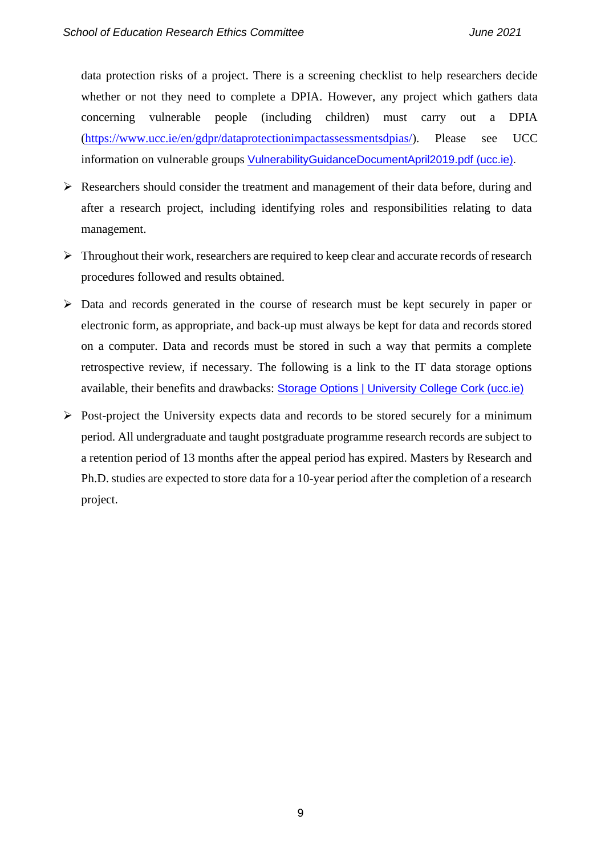data protection risks of a project. There is a screening checklist to help researchers decide whether or not they need to complete a DPIA. However, any project which gathers data concerning vulnerable people (including children) must carry out a DPIA [\(https://www.ucc.ie/en/gdpr/dataprotectionimpactassessmentsdpias/\)](https://www.ucc.ie/en/gdpr/dataprotectionimpactassessmentsdpias/). Please see UCC information on vulnerable groups [VulnerabilityGuidanceDocumentApril2019.pdf \(ucc.ie\).](https://www.ucc.ie/en/media/research/researchatucc/ethicswebpage/VulnerabilityGuidanceDocumentApril2019.pdf)

- ➢ Researchers should consider the treatment and management of their data before, during and after a research project, including identifying roles and responsibilities relating to data management.
- $\triangleright$  Throughout their work, researchers are required to keep clear and accurate records of research procedures followed and results obtained.
- ➢ Data and records generated in the course of research must be kept securely in paper or electronic form, as appropriate, and back-up must always be kept for data and records stored on a computer. Data and records must be stored in such a way that permits a complete retrospective review, if necessary. The following is a link to the IT data storage options available, their benefits and drawbacks: [Storage Options | University College Cork \(ucc.ie\)](https://www.ucc.ie/en/it/storage/)
- ➢ Post-project the University expects data and records to be stored securely for a minimum period. All undergraduate and taught postgraduate programme research records are subject to a retention period of 13 months after the appeal period has expired. Masters by Research and Ph.D. studies are expected to store data for a 10-year period after the completion of a research project.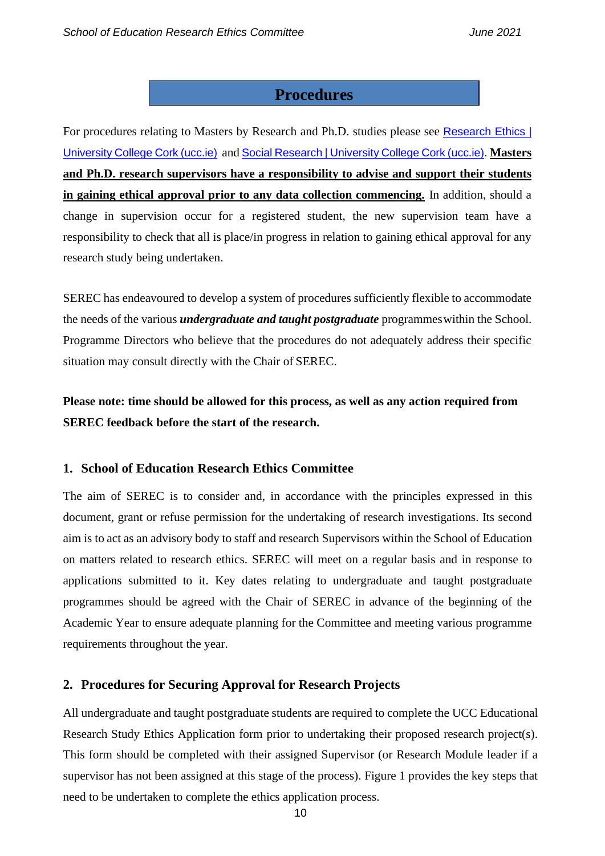## **Procedures**

For procedures relating to Masters by Research and Ph.D. studies please see Research Ethics | [University College Cork \(ucc.ie\)](https://www.ucc.ie/en/research/support/ethics/) and [Social Research | University College Cork \(ucc.ie\).](https://www.ucc.ie/en/research/support/ethics/socialresearch/) **Masters and Ph.D. research supervisors have a responsibility to advise and support their students in gaining ethical approval prior to any data collection commencing.** In addition, should a change in supervision occur for a registered student, the new supervision team have a responsibility to check that all is place/in progress in relation to gaining ethical approval for any research study being undertaken.

SEREC has endeavoured to develop a system of procedures sufficiently flexible to accommodate the needs of the various *undergraduate and taught postgraduate* programmeswithin the School. Programme Directors who believe that the procedures do not adequately address their specific situation may consult directly with the Chair of SEREC.

**Please note: time should be allowed for this process, as well as any action required from SEREC feedback before the start of the research.**

#### **1. School of Education Research Ethics Committee**

The aim of SEREC is to consider and, in accordance with the principles expressed in this document, grant or refuse permission for the undertaking of research investigations. Its second aim is to act as an advisory body to staff and research Supervisors within the School of Education on matters related to research ethics. SEREC will meet on a regular basis and in response to applications submitted to it. Key dates relating to undergraduate and taught postgraduate programmes should be agreed with the Chair of SEREC in advance of the beginning of the Academic Year to ensure adequate planning for the Committee and meeting various programme requirements throughout the year.

#### **2. Procedures for Securing Approval for Research Projects**

All undergraduate and taught postgraduate students are required to complete the UCC Educational Research Study Ethics Application form prior to undertaking their proposed research project(s). This form should be completed with their assigned Supervisor (or Research Module leader if a supervisor has not been assigned at this stage of the process). Figure 1 provides the key steps that need to be undertaken to complete the ethics application process.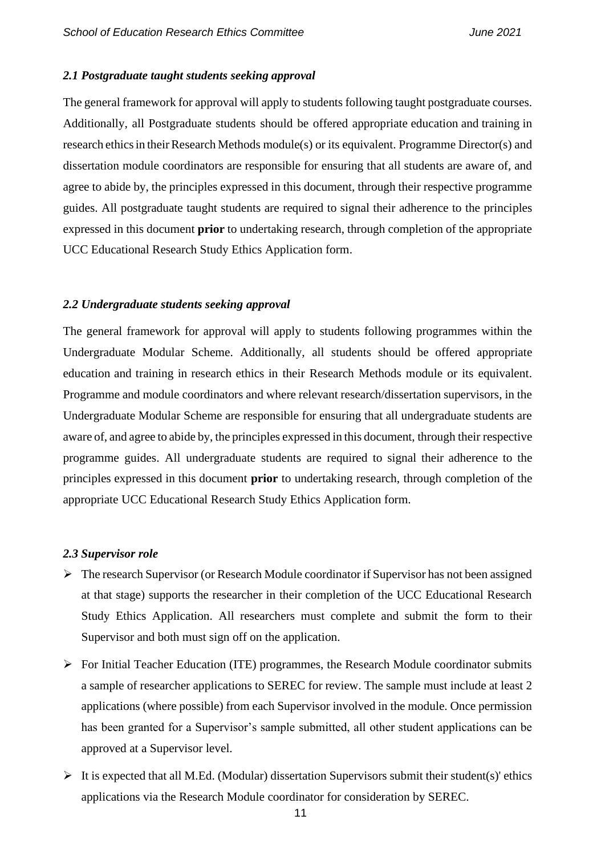#### *2.1 Postgraduate taught students seeking approval*

The general framework for approval will apply to students following taught postgraduate courses. Additionally, all Postgraduate students should be offered appropriate education and training in research ethics in their Research Methods module(s) or its equivalent. Programme Director(s) and dissertation module coordinators are responsible for ensuring that all students are aware of, and agree to abide by, the principles expressed in this document, through their respective programme guides. All postgraduate taught students are required to signal their adherence to the principles expressed in this document **prior** to undertaking research, through completion of the appropriate UCC Educational Research Study Ethics Application form.

#### *2.2 Undergraduate students seeking approval*

The general framework for approval will apply to students following programmes within the Undergraduate Modular Scheme. Additionally, all students should be offered appropriate education and training in research ethics in their Research Methods module or its equivalent. Programme and module coordinators and where relevant research/dissertation supervisors, in the Undergraduate Modular Scheme are responsible for ensuring that all undergraduate students are aware of, and agree to abide by, the principles expressed in this document, through their respective programme guides. All undergraduate students are required to signal their adherence to the principles expressed in this document **prior** to undertaking research, through completion of the appropriate UCC Educational Research Study Ethics Application form.

#### *2.3 Supervisor role*

- ➢ The research Supervisor (or Research Module coordinator if Supervisor has not been assigned at that stage) supports the researcher in their completion of the UCC Educational Research Study Ethics Application. All researchers must complete and submit the form to their Supervisor and both must sign off on the application.
- ➢ For Initial Teacher Education (ITE) programmes, the Research Module coordinator submits a sample of researcher applications to SEREC for review. The sample must include at least 2 applications (where possible) from each Supervisor involved in the module. Once permission has been granted for a Supervisor's sample submitted, all other student applications can be approved at a Supervisor level.
- $\triangleright$  It is expected that all M.Ed. (Modular) dissertation Supervisors submit their student(s)' ethics applications via the Research Module coordinator for consideration by SEREC.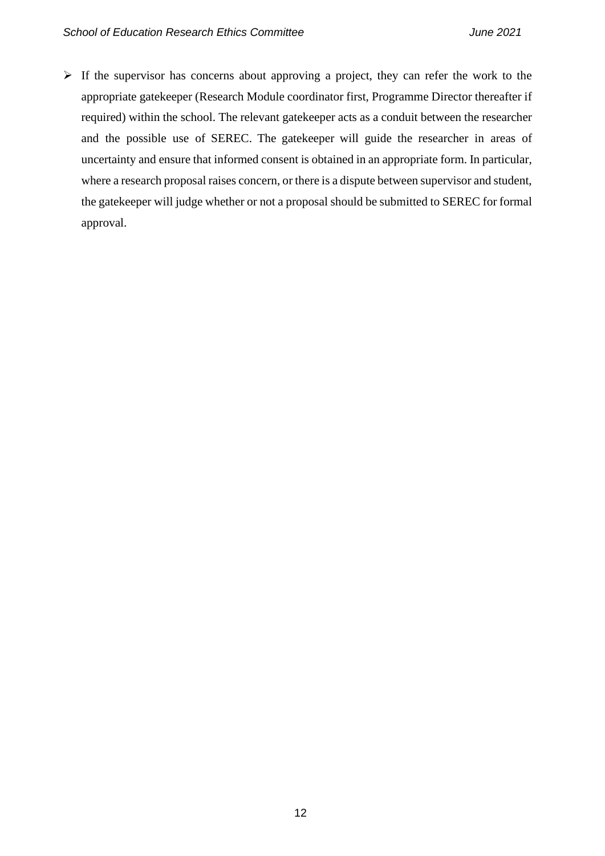$\triangleright$  If the supervisor has concerns about approving a project, they can refer the work to the appropriate gatekeeper (Research Module coordinator first, Programme Director thereafter if required) within the school. The relevant gatekeeper acts as a conduit between the researcher and the possible use of SEREC. The gatekeeper will guide the researcher in areas of uncertainty and ensure that informed consent is obtained in an appropriate form. In particular, where a research proposal raises concern, or there is a dispute between supervisor and student, the gatekeeper will judge whether or not a proposal should be submitted to SEREC for formal approval.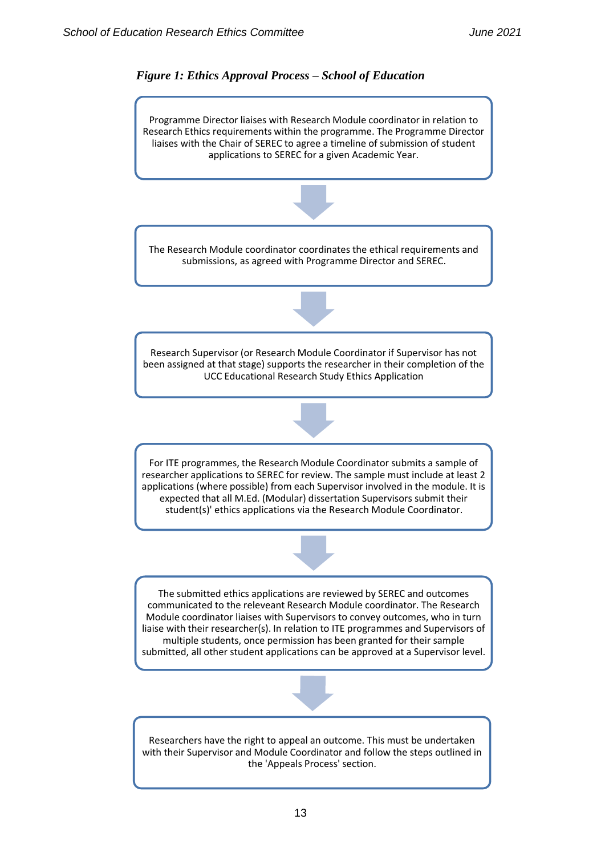